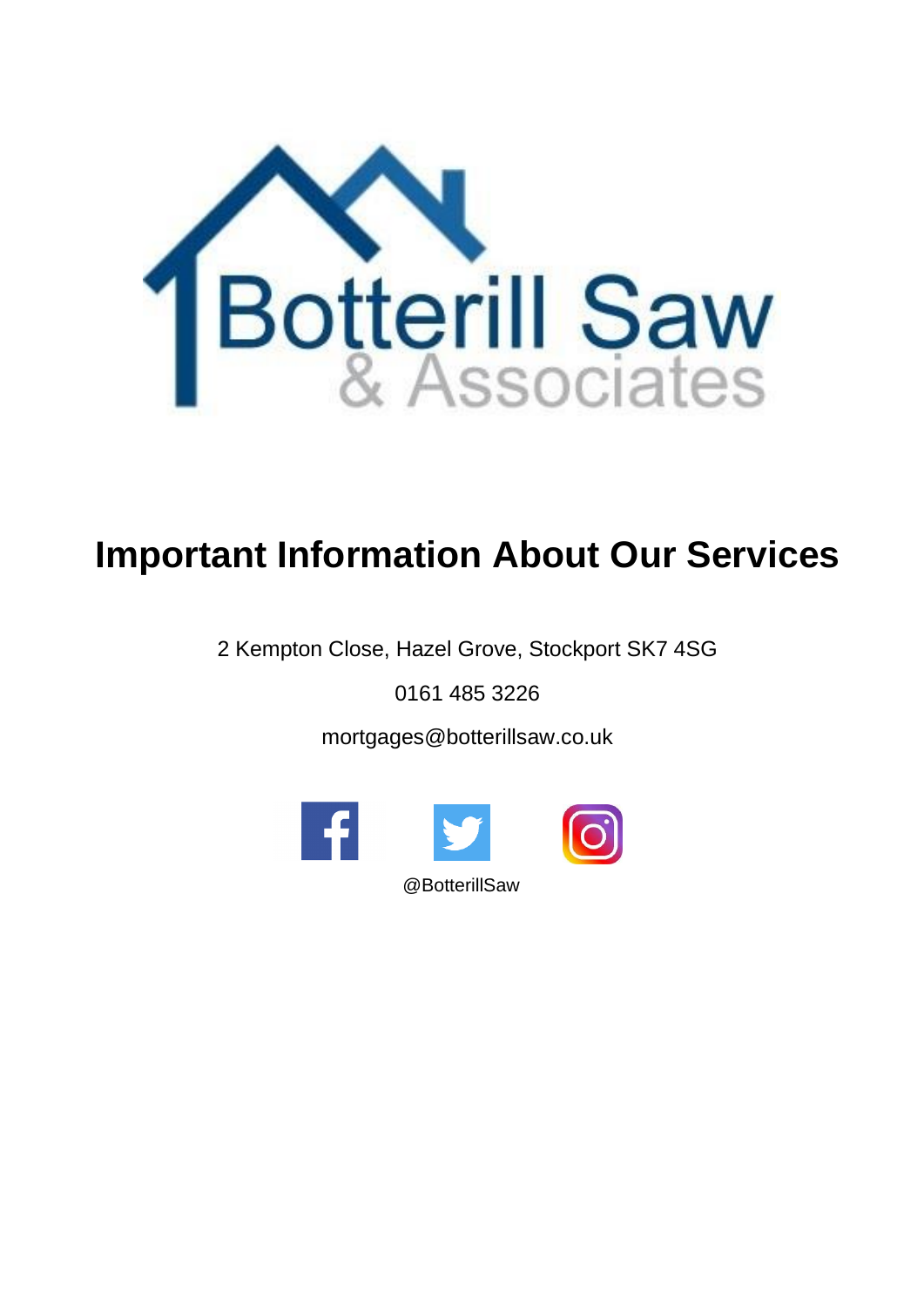

# **Important Information About Our Services**

2 Kempton Close, Hazel Grove, Stockport SK7 4SG

0161 485 3226

mortgages@botterillsaw.co.uk

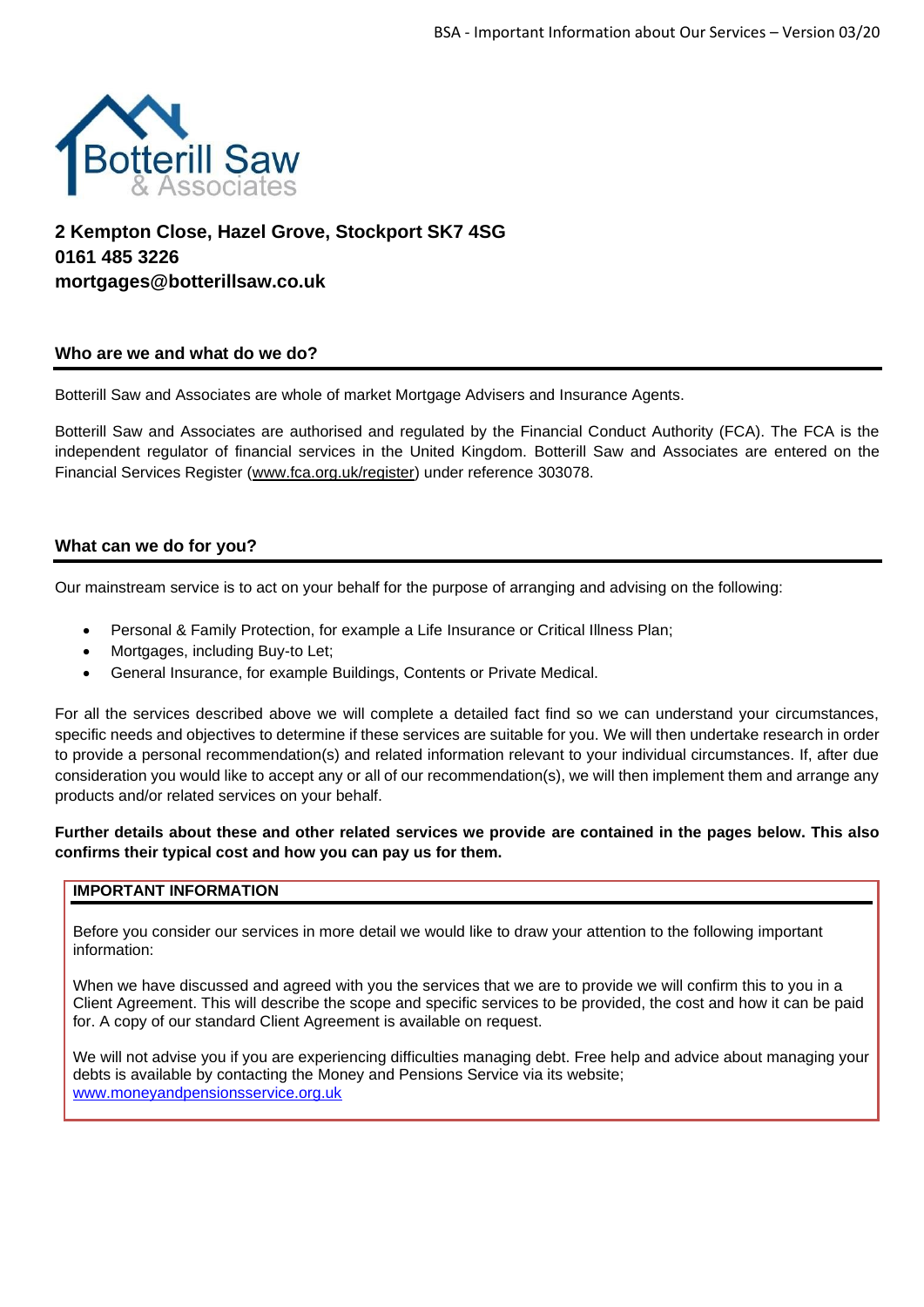

# **2 Kempton Close, Hazel Grove, Stockport SK7 4SG 0161 485 3226 mortgages@botterillsaw.co.uk**

# **Who are we and what do we do?**

Botterill Saw and Associates are whole of market Mortgage Advisers and Insurance Agents.

Botterill Saw and Associates are authorised and regulated by the Financial Conduct Authority (FCA). The FCA is the independent regulator of financial services in the United Kingdom. Botterill Saw and Associates are entered on the Financial Services Register [\(www.fca.org.uk/register\)](http://www.fca.org.uk/register) under reference 303078.

# **What can we do for you?**

Our mainstream service is to act on your behalf for the purpose of arranging and advising on the following:

- Personal & Family Protection, for example a Life Insurance or Critical Illness Plan;
- Mortgages, including Buy-to Let;
- General Insurance, for example Buildings, Contents or Private Medical.

For all the services described above we will complete a detailed fact find so we can understand your circumstances, specific needs and objectives to determine if these services are suitable for you. We will then undertake research in order to provide a personal recommendation(s) and related information relevant to your individual circumstances. If, after due consideration you would like to accept any or all of our recommendation(s), we will then implement them and arrange any products and/or related services on your behalf.

**Further details about these and other related services we provide are contained in the pages below. This also confirms their typical cost and how you can pay us for them.**

## **IMPORTANT INFORMATION**

Before you consider our services in more detail we would like to draw your attention to the following important information:

When we have discussed and agreed with you the services that we are to provide we will confirm this to you in a Client Agreement. This will describe the scope and specific services to be provided, the cost and how it can be paid for. A copy of our standard Client Agreement is available on request.

We will not advise you if you are experiencing difficulties managing debt. Free help and advice about managing your debts is available by contacting the Money and Pensions Service via its website; [www.moneyandpensionsservice.org.uk](http://www.moneyandpensionsservice.org.uk/)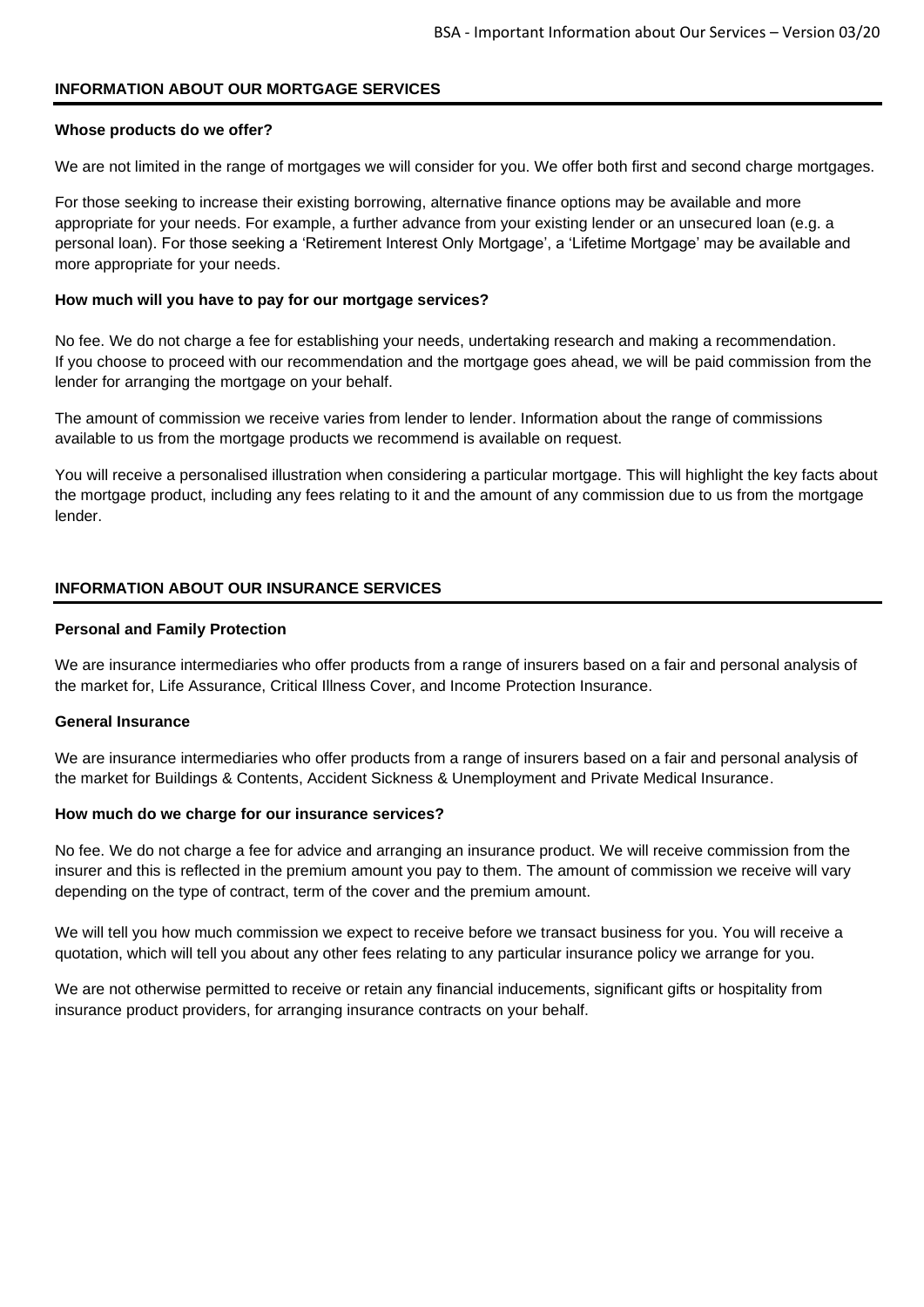## **INFORMATION ABOUT OUR MORTGAGE SERVICES**

#### **Whose products do we offer?**

We are not limited in the range of mortgages we will consider for you. We offer both first and second charge mortgages.

For those seeking to increase their existing borrowing, alternative finance options may be available and more appropriate for your needs. For example, a further advance from your existing lender or an unsecured loan (e.g. a personal loan). For those seeking a 'Retirement Interest Only Mortgage', a 'Lifetime Mortgage' may be available and more appropriate for your needs.

#### **How much will you have to pay for our mortgage services?**

No fee. We do not charge a fee for establishing your needs, undertaking research and making a recommendation. If you choose to proceed with our recommendation and the mortgage goes ahead, we will be paid commission from the lender for arranging the mortgage on your behalf.

The amount of commission we receive varies from lender to lender. Information about the range of commissions available to us from the mortgage products we recommend is available on request.

You will receive a personalised illustration when considering a particular mortgage. This will highlight the key facts about the mortgage product, including any fees relating to it and the amount of any commission due to us from the mortgage lender.

# **INFORMATION ABOUT OUR INSURANCE SERVICES**

#### **Personal and Family Protection**

We are insurance intermediaries who offer products from a range of insurers based on a fair and personal analysis of the market for, Life Assurance, Critical Illness Cover, and Income Protection Insurance.

#### **General Insurance**

We are insurance intermediaries who offer products from a range of insurers based on a fair and personal analysis of the market for Buildings & Contents, Accident Sickness & Unemployment and Private Medical Insurance.

#### **How much do we charge for our insurance services?**

No fee. We do not charge a fee for advice and arranging an insurance product. We will receive commission from the insurer and this is reflected in the premium amount you pay to them. The amount of commission we receive will vary depending on the type of contract, term of the cover and the premium amount.

We will tell you how much commission we expect to receive before we transact business for you. You will receive a quotation, which will tell you about any other fees relating to any particular insurance policy we arrange for you.

We are not otherwise permitted to receive or retain any financial inducements, significant gifts or hospitality from insurance product providers, for arranging insurance contracts on your behalf.